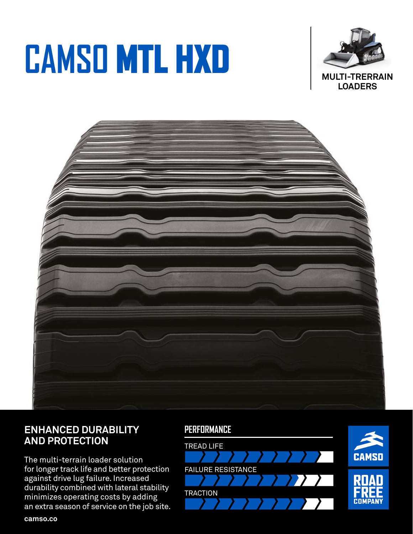# **CAMSO** MTL HXD





# **ENHANCED DURABILITY AND PROTECTION**

The multi-terrain loader solution for longer track life and better protection against drive lug failure. Increased durability combined with lateral stability minimizes operating costs by adding an extra season of service on the job site.

## **PERFORMANCE**



**camso.co**